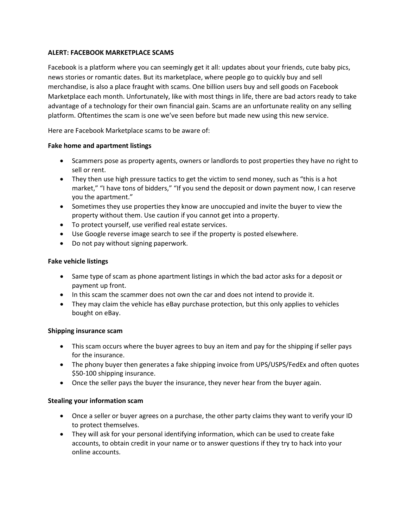## **ALERT: FACEBOOK MARKETPLACE SCAMS**

Facebook is a platform where you can seemingly get it all: updates about your friends, cute baby pics, news stories or romantic dates. But its marketplace, where people go to quickly buy and sell merchandise, is also a place fraught with scams. One billion users buy and sell goods on Facebook Marketplace each month. Unfortunately, like with most things in life, there are bad actors ready to take advantage of a technology for their own financial gain. Scams are an unfortunate reality on any selling platform. Oftentimes the scam is one we've seen before but made new using this new service.

Here are Facebook Marketplace scams to be aware of:

#### **Fake home and apartment listings**

- Scammers pose as property agents, owners or landlords to post properties they have no right to sell or rent.
- They then use high pressure tactics to get the victim to send money, such as "this is a hot market," "I have tons of bidders," "If you send the deposit or down payment now, I can reserve you the apartment."
- Sometimes they use properties they know are unoccupied and invite the buyer to view the property without them. Use caution if you cannot get into a property.
- To protect yourself, use verified real estate services.
- Use Google reverse image search to see if the property is posted elsewhere.
- Do not pay without signing paperwork.

## **Fake vehicle listings**

- Same type of scam as phone apartment listings in which the bad actor asks for a deposit or payment up front.
- In this scam the scammer does not own the car and does not intend to provide it.
- They may claim the vehicle has eBay purchase protection, but this only applies to vehicles bought on eBay.

#### **Shipping insurance scam**

- This scam occurs where the buyer agrees to buy an item and pay for the shipping if seller pays for the insurance.
- The phony buyer then generates a fake shipping invoice from UPS/USPS/FedEx and often quotes \$50-100 shipping insurance.
- Once the seller pays the buyer the insurance, they never hear from the buyer again.

# **Stealing your information scam**

- Once a seller or buyer agrees on a purchase, the other party claims they want to verify your ID to protect themselves.
- They will ask for your personal identifying information, which can be used to create fake accounts, to obtain credit in your name or to answer questions if they try to hack into your online accounts.